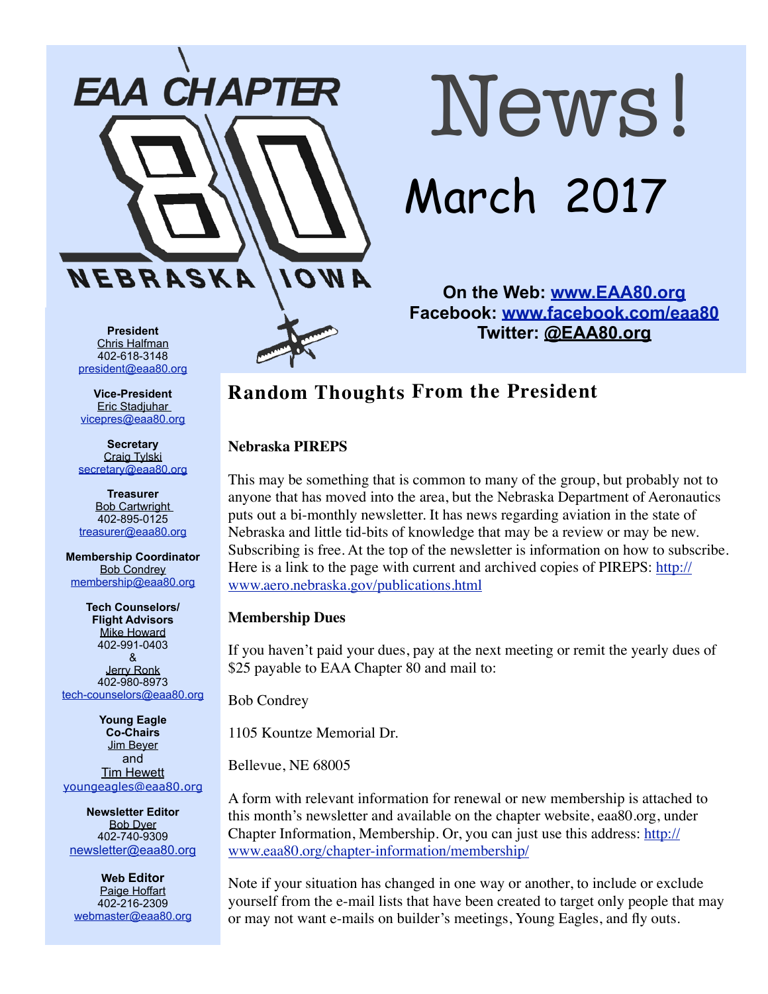

# News! March 2017

**On the Web: [www.EAA80.org](http://www.EAA80.org) Facebook: [www.facebook.com/eaa80](http://www.facebook.com/eaa80) Twitter: @EAA80.org**

**President**  Chris Halfman 402-618-3148 [president@eaa80.org](mailto:president@eaa80.org)

**Vice-President**  Eric Stadjuhar [vicepres@eaa80.org](mailto:vicepres@eaa80.org)

**Secretary**  Craig Tylski [secretary@eaa80.org](mailto:secretary@eaa80.org)

**Treasurer**  Bob Cartwright 402-895-0125 [treasurer@eaa80.org](mailto:treasurer@eaa80.org)

**Membership Coordinator**  Bob Condrey [membership@eaa80.org](mailto:membership@eaa80.org)

**Tech Counselors/ Flight Advisors**  Mike Howard 402-991-0403 & Jerry Ronk 402-980-8973 [tech-counselors@eaa80.org](mailto:tech-counselors@eaa80.org)

**Young Eagle Co-Chairs**  Jim Beyer and Tim Hewett [youngeagles@eaa80.org](mailto:youngeagles@eaa80.org)

**Newsletter Editor**  Bob Dyer 402-740-9309 [newsletter@eaa80.org](mailto:newsletter@eaa80.org)

**Web Editor**  Paige Hoffart 402-216-2309 [webmaster@eaa80.org](mailto:webmaster@eaa80.org)

### **Random Thoughts From the President**

#### **Nebraska PIREPS**

This may be something that is common to many of the group, but probably not to anyone that has moved into the area, but the Nebraska Department of Aeronautics puts out a bi-monthly newsletter. It has news regarding aviation in the state of Nebraska and little tid-bits of knowledge that may be a review or may be new. Subscribing is free. At the top of the newsletter is information on how to subscribe. Here is a link to the page with current and archived copies of PIREPS: [http://](http://www.aero.nebraska.gov/publications.html) [www.aero.nebraska.gov/publications.html](http://www.aero.nebraska.gov/publications.html)

#### **Membership Dues**

If you haven't paid your dues, pay at the next meeting or remit the yearly dues of \$25 payable to EAA Chapter 80 and mail to:

Bob Condrey

1105 Kountze Memorial Dr.

Bellevue, NE 68005

A form with relevant information for renewal or new membership is attached to this month's newsletter and available on the chapter website, eaa80.org, under Chapter Information, Membership. Or, you can just use this address: [http://](http://www.eaa80.org/chapter-information/membership/) [www.eaa80.org/chapter-information/membership/](http://www.eaa80.org/chapter-information/membership/)

Note if your situation has changed in one way or another, to include or exclude yourself from the e-mail lists that have been created to target only people that may or may not want e-mails on builder's meetings, Young Eagles, and fly outs.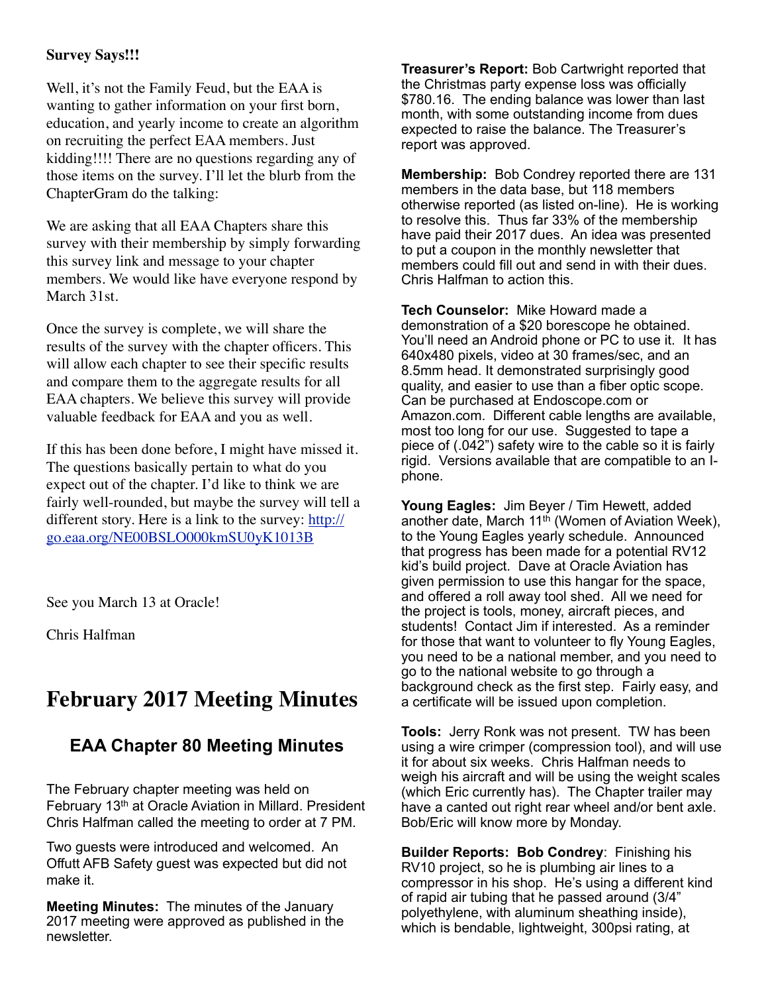#### **Survey Says!!!**

Well, it's not the Family Feud, but the EAA is wanting to gather information on your first born, education, and yearly income to create an algorithm on recruiting the perfect EAA members. Just kidding!!!! There are no questions regarding any of those items on the survey. I'll let the blurb from the ChapterGram do the talking:

We are asking that all EAA Chapters share this survey with their membership by simply forwarding this survey link and message to your chapter members. We would like have everyone respond by March 31st.

Once the survey is complete, we will share the results of the survey with the chapter officers. This will allow each chapter to see their specific results and compare them to the aggregate results for all EAA chapters. We believe this survey will provide valuable feedback for EAA and you as well.

If this has been done before, I might have missed it. The questions basically pertain to what do you expect out of the chapter. I'd like to think we are fairly well-rounded, but maybe the survey will tell a different story. Here is a link to the survey: [http://](http://go.eaa.org/NE00BSLO000kmSU0yK1013B) [go.eaa.org/NE00BSLO000kmSU0yK1013B](http://go.eaa.org/NE00BSLO000kmSU0yK1013B)

See you March 13 at Oracle!

Chris Halfman

## **February 2017 Meeting Minutes**

#### **EAA Chapter 80 Meeting Minutes**

The February chapter meeting was held on February 13<sup>th</sup> at Oracle Aviation in Millard. President Chris Halfman called the meeting to order at 7 PM.

Two guests were introduced and welcomed. An Offutt AFB Safety guest was expected but did not make it.

**Meeting Minutes:** The minutes of the January 2017 meeting were approved as published in the newsletter.

**Treasurer's Report:** Bob Cartwright reported that the Christmas party expense loss was officially \$780.16. The ending balance was lower than last month, with some outstanding income from dues expected to raise the balance. The Treasurer's report was approved.

**Membership:** Bob Condrey reported there are 131 members in the data base, but 118 members otherwise reported (as listed on-line). He is working to resolve this. Thus far 33% of the membership have paid their 2017 dues. An idea was presented to put a coupon in the monthly newsletter that members could fill out and send in with their dues. Chris Halfman to action this.

**Tech Counselor:** Mike Howard made a demonstration of a \$20 borescope he obtained. You'll need an Android phone or PC to use it. It has 640x480 pixels, video at 30 frames/sec, and an 8.5mm head. It demonstrated surprisingly good quality, and easier to use than a fiber optic scope. Can be purchased at Endoscope.com or Amazon.com. Different cable lengths are available, most too long for our use. Suggested to tape a piece of (.042") safety wire to the cable so it is fairly rigid. Versions available that are compatible to an Iphone.

**Young Eagles:** Jim Beyer / Tim Hewett, added another date, March  $11<sup>th</sup>$  (Women of Aviation Week), to the Young Eagles yearly schedule. Announced that progress has been made for a potential RV12 kid's build project. Dave at Oracle Aviation has given permission to use this hangar for the space, and offered a roll away tool shed. All we need for the project is tools, money, aircraft pieces, and students! Contact Jim if interested. As a reminder for those that want to volunteer to fly Young Eagles, you need to be a national member, and you need to go to the national website to go through a background check as the first step. Fairly easy, and a certificate will be issued upon completion.

**Tools:** Jerry Ronk was not present. TW has been using a wire crimper (compression tool), and will use it for about six weeks. Chris Halfman needs to weigh his aircraft and will be using the weight scales (which Eric currently has). The Chapter trailer may have a canted out right rear wheel and/or bent axle. Bob/Eric will know more by Monday.

**Builder Reports: Bob Condrey**: Finishing his RV10 project, so he is plumbing air lines to a compressor in his shop. He's using a different kind of rapid air tubing that he passed around (3/4" polyethylene, with aluminum sheathing inside), which is bendable, lightweight, 300psi rating, at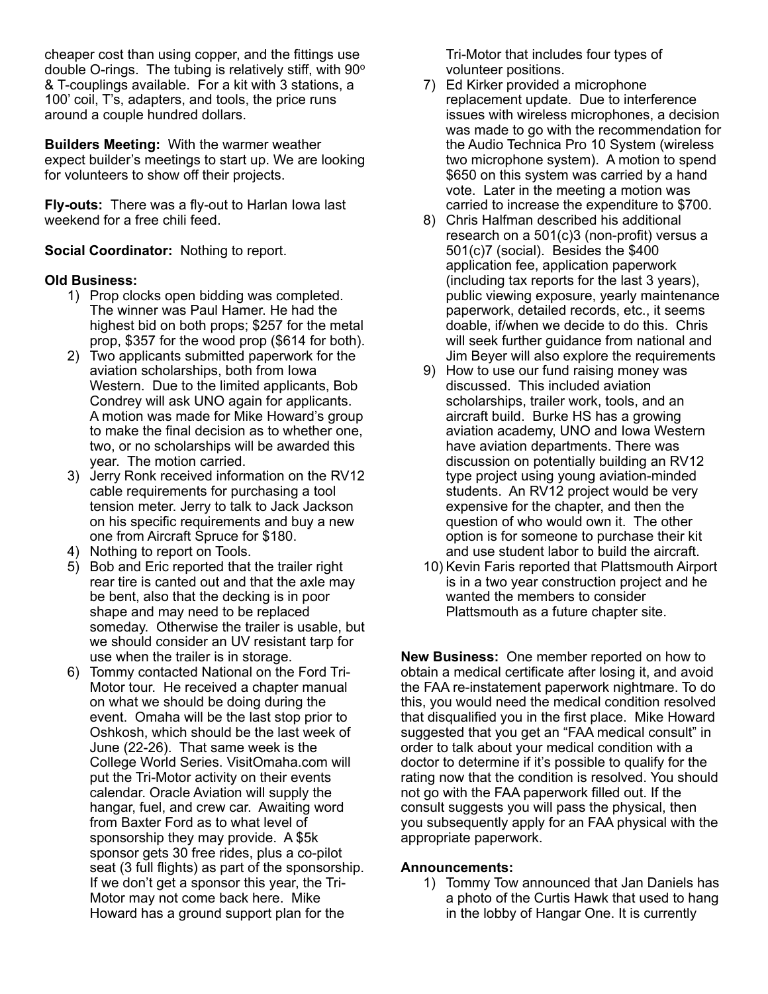cheaper cost than using copper, and the fittings use double O-rings. The tubing is relatively stiff, with 90° & T-couplings available. For a kit with 3 stations, a 100' coil, T's, adapters, and tools, the price runs around a couple hundred dollars.

**Builders Meeting:** With the warmer weather expect builder's meetings to start up. We are looking for volunteers to show off their projects.

**Fly-outs:** There was a fly-out to Harlan Iowa last weekend for a free chili feed.

#### **Social Coordinator:** Nothing to report.

#### **Old Business:**

- 1) Prop clocks open bidding was completed. The winner was Paul Hamer. He had the highest bid on both props; \$257 for the metal prop, \$357 for the wood prop (\$614 for both).
- 2) Two applicants submitted paperwork for the aviation scholarships, both from Iowa Western. Due to the limited applicants, Bob Condrey will ask UNO again for applicants. A motion was made for Mike Howard's group to make the final decision as to whether one, two, or no scholarships will be awarded this year. The motion carried.
- 3) Jerry Ronk received information on the RV12 cable requirements for purchasing a tool tension meter. Jerry to talk to Jack Jackson on his specific requirements and buy a new one from Aircraft Spruce for \$180.
- 4) Nothing to report on Tools.
- 5) Bob and Eric reported that the trailer right rear tire is canted out and that the axle may be bent, also that the decking is in poor shape and may need to be replaced someday. Otherwise the trailer is usable, but we should consider an UV resistant tarp for use when the trailer is in storage.
- 6) Tommy contacted National on the Ford Tri-Motor tour. He received a chapter manual on what we should be doing during the event. Omaha will be the last stop prior to Oshkosh, which should be the last week of June (22-26). That same week is the College World Series. VisitOmaha.com will put the Tri-Motor activity on their events calendar. Oracle Aviation will supply the hangar, fuel, and crew car. Awaiting word from Baxter Ford as to what level of sponsorship they may provide. A \$5k sponsor gets 30 free rides, plus a co-pilot seat (3 full flights) as part of the sponsorship. If we don't get a sponsor this year, the Tri-Motor may not come back here. Mike Howard has a ground support plan for the

Tri-Motor that includes four types of volunteer positions.

- 7) Ed Kirker provided a microphone replacement update. Due to interference issues with wireless microphones, a decision was made to go with the recommendation for the Audio Technica Pro 10 System (wireless two microphone system). A motion to spend \$650 on this system was carried by a hand vote. Later in the meeting a motion was carried to increase the expenditure to \$700.
- 8) Chris Halfman described his additional research on a 501(c)3 (non-profit) versus a 501(c)7 (social). Besides the \$400 application fee, application paperwork (including tax reports for the last 3 years), public viewing exposure, yearly maintenance paperwork, detailed records, etc., it seems doable, if/when we decide to do this. Chris will seek further guidance from national and Jim Beyer will also explore the requirements
- 9) How to use our fund raising money was discussed. This included aviation scholarships, trailer work, tools, and an aircraft build. Burke HS has a growing aviation academy, UNO and Iowa Western have aviation departments. There was discussion on potentially building an RV12 type project using young aviation-minded students. An RV12 project would be very expensive for the chapter, and then the question of who would own it. The other option is for someone to purchase their kit and use student labor to build the aircraft.
- 10) Kevin Faris reported that Plattsmouth Airport is in a two year construction project and he wanted the members to consider Plattsmouth as a future chapter site.

**New Business:** One member reported on how to obtain a medical certificate after losing it, and avoid the FAA re-instatement paperwork nightmare. To do this, you would need the medical condition resolved that disqualified you in the first place. Mike Howard suggested that you get an "FAA medical consult" in order to talk about your medical condition with a doctor to determine if it's possible to qualify for the rating now that the condition is resolved. You should not go with the FAA paperwork filled out. If the consult suggests you will pass the physical, then you subsequently apply for an FAA physical with the appropriate paperwork.

#### **Announcements:**

1) Tommy Tow announced that Jan Daniels has a photo of the Curtis Hawk that used to hang in the lobby of Hangar One. It is currently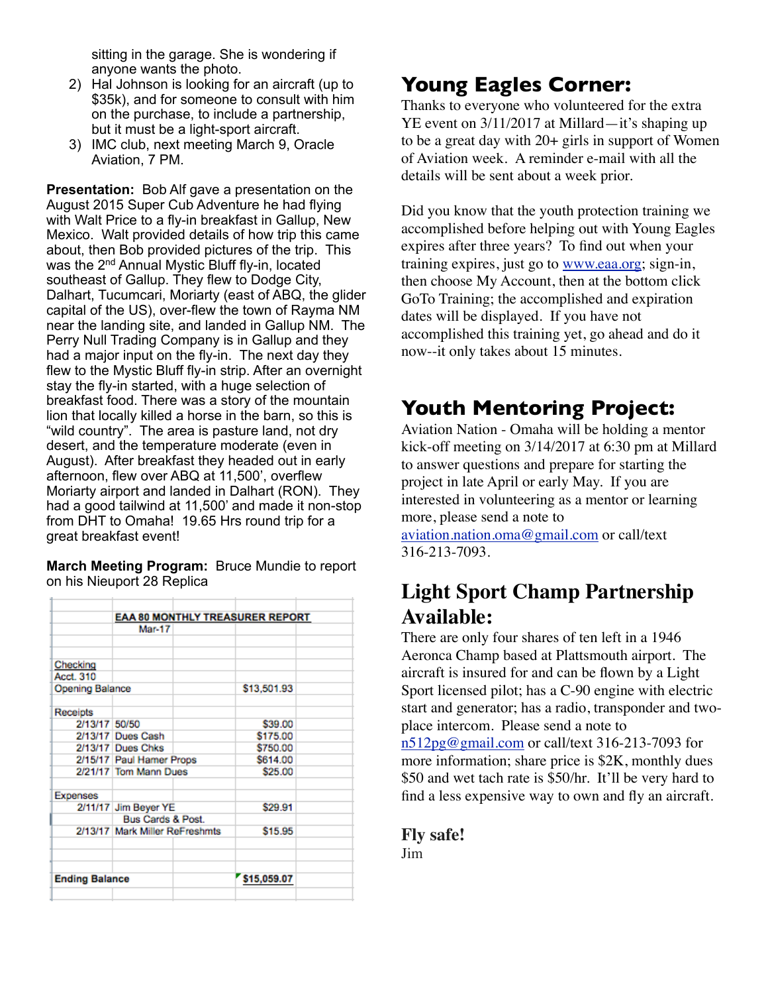sitting in the garage. She is wondering if anyone wants the photo.

- 2) Hal Johnson is looking for an aircraft (up to \$35k), and for someone to consult with him on the purchase, to include a partnership, but it must be a light-sport aircraft.
- 3) IMC club, next meeting March 9, Oracle Aviation, 7 PM.

**Presentation:** Bob Alf gave a presentation on the August 2015 Super Cub Adventure he had flying with Walt Price to a fly-in breakfast in Gallup, New Mexico. Walt provided details of how trip this came about, then Bob provided pictures of the trip. This was the 2<sup>nd</sup> Annual Mystic Bluff fly-in, located southeast of Gallup. They flew to Dodge City, Dalhart, Tucumcari, Moriarty (east of ABQ, the glider capital of the US), over-flew the town of Rayma NM near the landing site, and landed in Gallup NM. The Perry Null Trading Company is in Gallup and they had a major input on the fly-in. The next day they flew to the Mystic Bluff fly-in strip. After an overnight stay the fly-in started, with a huge selection of breakfast food. There was a story of the mountain lion that locally killed a horse in the barn, so this is "wild country". The area is pasture land, not dry desert, and the temperature moderate (even in August). After breakfast they headed out in early afternoon, flew over ABQ at 11,500', overflew Moriarty airport and landed in Dalhart (RON). They had a good tailwind at 11,500' and made it non-stop from DHT to Omaha! 19.65 Hrs round trip for a great breakfast event!

**March Meeting Program:** Bruce Mundie to report on his Nieuport 28 Replica

|                       | <b>EAA 80 MONTHLY TREASURER REPORT</b> |  |             |  |  |
|-----------------------|----------------------------------------|--|-------------|--|--|
|                       | Mar-17                                 |  |             |  |  |
|                       |                                        |  |             |  |  |
|                       |                                        |  |             |  |  |
| Checking              |                                        |  |             |  |  |
| Acct. 310             |                                        |  |             |  |  |
| Opening Balance       |                                        |  | \$13,501.93 |  |  |
| Receipts              |                                        |  |             |  |  |
| 2/13/17 50/50         |                                        |  | \$39.00     |  |  |
|                       | 2/13/17 Dues Cash                      |  | \$175.00    |  |  |
|                       | 2/13/17 Dues Chks                      |  | \$750.00    |  |  |
|                       | 2/15/17 Paul Hamer Props               |  | \$614.00    |  |  |
|                       | 2/21/17 Tom Mann Dues                  |  | \$25.00     |  |  |
| <b>Expenses</b>       |                                        |  |             |  |  |
|                       | 2/11/17 Jim Beyer YE                   |  | \$29.91     |  |  |
|                       | Bus Cards & Post.                      |  |             |  |  |
|                       | 2/13/17 Mark Miller ReFreshmts         |  | \$15.95     |  |  |
|                       |                                        |  |             |  |  |
|                       |                                        |  |             |  |  |
| <b>Ending Balance</b> |                                        |  | \$15,059.07 |  |  |
|                       |                                        |  |             |  |  |
|                       |                                        |  |             |  |  |

## **Young Eagles Corner:**

Thanks to everyone who volunteered for the extra YE event on 3/11/2017 at Millard—it's shaping up to be a great day with 20+ girls in support of Women of Aviation week. A reminder e-mail with all the details will be sent about a week prior.

Did you know that the youth protection training we accomplished before helping out with Young Eagles expires after three years? To find out when your training expires, just go to [www.eaa.org;](http://www.eaa.org/) sign-in, then choose My Account, then at the bottom click GoTo Training; the accomplished and expiration dates will be displayed. If you have not accomplished this training yet, go ahead and do it now--it only takes about 15 minutes.

## **Youth Mentoring Project:**

Aviation Nation - Omaha will be holding a mentor kick-off meeting on 3/14/2017 at 6:30 pm at Millard to answer questions and prepare for starting the project in late April or early May. If you are interested in volunteering as a mentor or learning more, please send a note to

[aviation.nation.oma@gmail.com](mailto:aviation.nation.oma@gmail.com) or call/text 316-213-7093.

## **Light Sport Champ Partnership Available:**

There are only four shares of ten left in a 1946 Aeronca Champ based at Plattsmouth airport. The aircraft is insured for and can be flown by a Light Sport licensed pilot; has a C-90 engine with electric start and generator; has a radio, transponder and twoplace intercom. Please send a note to [n512pg@gmail.com](mailto:n512pg@gmail.com) or call/text 316-213-7093 for more information; share price is \$2K, monthly dues \$50 and wet tach rate is \$50/hr. It'll be very hard to find a less expensive way to own and fly an aircraft.

**Fly safe!** Jim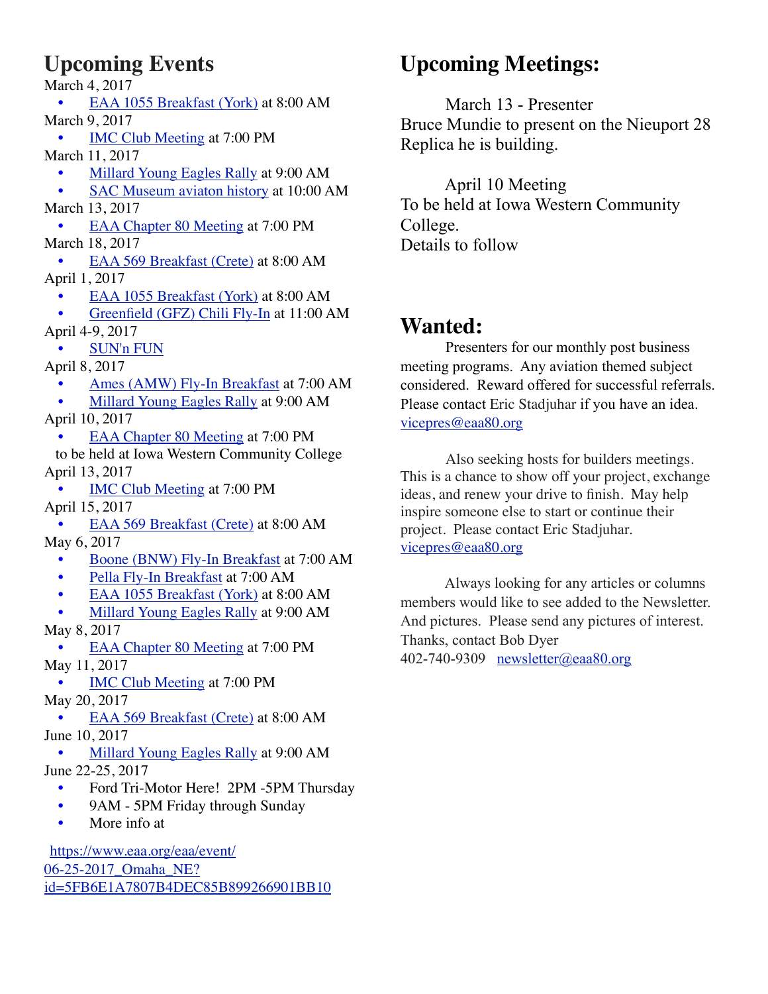## **Upcoming Events**

March 4, 2017 • [EAA 1055 Breakfast \(York\)](http://1055.eaachapter.org/) at 8:00 AM March 9, 2017 • [IMC Club Meeting](http://www.eaa80.org/upcoming-events/#) at 7:00 PM March 11, 2017 • [Millard Young Eagles Rally](http://www.eaa80.org/chapter-activities/young-eagles/) at 9:00 AM • [SAC Museum aviaton history](http://www.eaa80.org/upcoming-events/#) at 10:00 AM March 13, 2017 [EAA Chapter 80 Meeting](http://www.eaa80.org/chapter-activities/meetings/) at 7:00 PM March 18, 2017 • [EAA 569 Breakfast \(Crete\)](http://eaa569.org/blog/) at 8:00 AM April 1, 2017 • [EAA 1055 Breakfast \(York\)](http://1055.eaachapter.org/) at 8:00 AM • [Greenfield \(GFZ\) Chili Fly-In](http://www.eaa80.org/upcoming-events/#) at 11:00 AM April 4-9, 2017 • [SUN'n FUN](http://www.flysnf.org/) April 8, 2017 • [Ames \(AMW\) Fly-In Breakfast](http://www.eaa80.org/upcoming-events/#) at 7:00 AM • [Millard Young Eagles Rally](http://www.eaa80.org/chapter-activities/young-eagles/) at 9:00 AM April 10, 2017

• [EAA Chapter 80 Meeting](http://www.eaa80.org/chapter-activities/meetings/) at 7:00 PM

 to be held at Iowa Western Community College April 13, 2017

[IMC Club Meeting](http://www.eaa80.org/upcoming-events/#) at 7:00 PM April 15, 2017

• [EAA 569 Breakfast \(Crete\)](http://eaa569.org/blog/) at 8:00 AM May 6, 2017

- [Boone \(BNW\) Fly-In Breakfast](http://www.eaa80.org/upcoming-events/#) at 7:00 AM
- [Pella Fly-In Breakfast](http://www.eaa80.org/upcoming-events/#) at 7:00 AM
- [EAA 1055 Breakfast \(York\)](http://1055.eaachapter.org/) at 8:00 AM
- [Millard Young Eagles Rally](http://www.eaa80.org/chapter-activities/young-eagles/) at 9:00 AM May 8, 2017

[EAA Chapter 80 Meeting](http://www.eaa80.org/chapter-activities/meetings/) at 7:00 PM May 11, 2017

• [IMC Club Meeting](http://www.eaa80.org/upcoming-events/#) at 7:00 PM May 20, 2017

• [EAA 569 Breakfast \(Crete\)](http://eaa569.org/blog/) at 8:00 AM June 10, 2017

• [Millard Young Eagles Rally](http://www.eaa80.org/chapter-activities/young-eagles/) at 9:00 AM June 22-25, 2017

- Ford Tri-Motor Here! 2PM -5PM Thursday
- 9AM 5PM Friday through Sunday
- More info at

[https://www.eaa.org/eaa/event/](https://www.eaa.org/eaa/event/06-25-2017_Omaha_NE?id=5FB6E1A7807B4DEC85B899266901BB10) [06-25-2017\\_Omaha\\_NE?](https://www.eaa.org/eaa/event/06-25-2017_Omaha_NE?id=5FB6E1A7807B4DEC85B899266901BB10) [id=5FB6E1A7807B4DEC85B899266901BB10](https://www.eaa.org/eaa/event/06-25-2017_Omaha_NE?id=5FB6E1A7807B4DEC85B899266901BB10)

## **Upcoming Meetings:**

 March 13 - Presenter Bruce Mundie to present on the Nieuport 28 Replica he is building.

 April 10 Meeting To be held at Iowa Western Community College. Details to follow

## **Wanted:**

 Presenters for our monthly post business meeting programs. Any aviation themed subject considered. Reward offered for successful referrals. Please contact Eric Stadjuhar if you have an idea. [vicepres@eaa80.org](mailto:vicepres@eaa80.org)

Also seeking hosts for builders meetings. This is a chance to show off your project, exchange ideas, and renew your drive to finish. May help inspire someone else to start or continue their project. Please contact Eric Stadjuhar. [vicepres@eaa80.org](mailto:vicepres@eaa80.org)

 Always looking for any articles or columns members would like to see added to the Newsletter. And pictures. Please send any pictures of interest. Thanks, contact Bob Dyer 402-740-9309 [newsletter@eaa80.org](mailto:newsletter@eaa80.org)